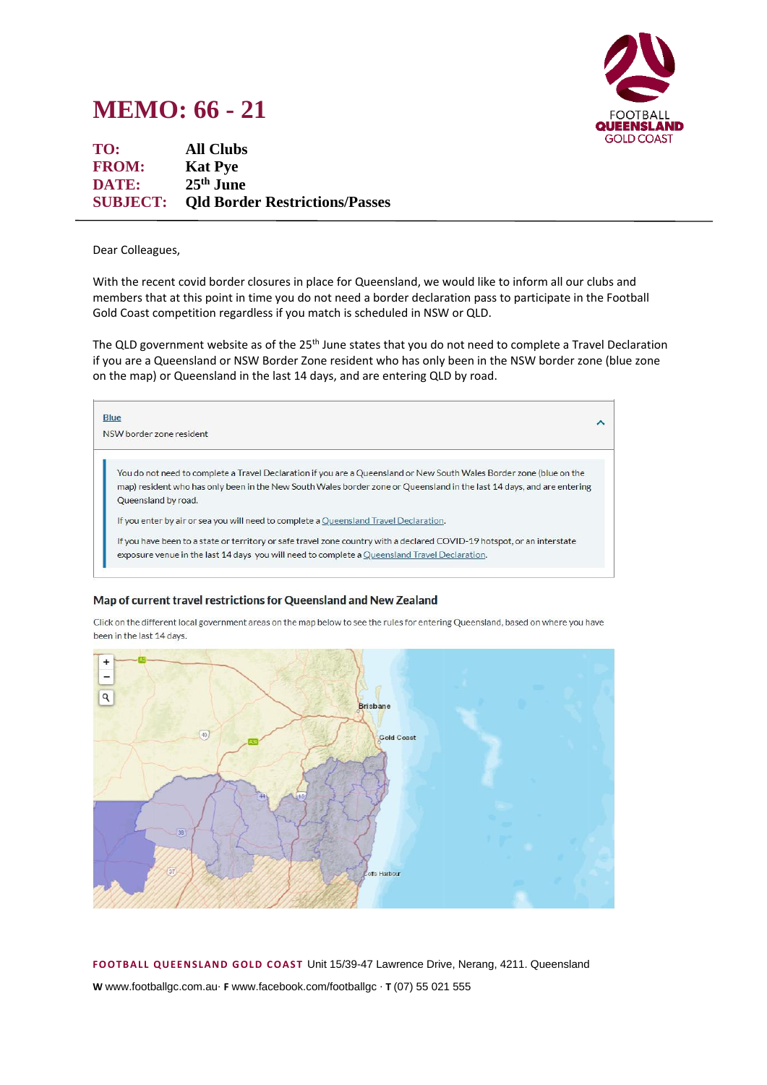## **MEMO: 66 - 21**



| TO:          | <b>All Clubs</b>                               |
|--------------|------------------------------------------------|
| <b>FROM:</b> | <b>Kat Pye</b>                                 |
| DATE:        | $25th$ June                                    |
|              | <b>SUBJECT:</b> Old Border Restrictions/Passes |

Dear Colleagues,

With the recent covid border closures in place for Queensland, we would like to inform all our clubs and members that at this point in time you do not need a border declaration pass to participate in the Football Gold Coast competition regardless if you match is scheduled in NSW or QLD.

The QLD government website as of the 25<sup>th</sup> June states that you do not need to complete a Travel Declaration if you are a Queensland or NSW Border Zone resident who has only been in the NSW border zone (blue zone on the map) or Queensland in the last 14 days, and are entering QLD by road.



## Map of current travel restrictions for Queensland and New Zealand

Click on the different local government areas on the map below to see the rules for entering Queensland, based on where you have been in the last 14 days.



**FOOTB ALL QUEEN SLAND G OLD COAST** Unit 15/39-47 Lawrence Drive, Nerang, 4211. Queensland **W** www.footballgc.com.au. **F** www.facebook.com/footballgc . **T** (07) 55 021 555